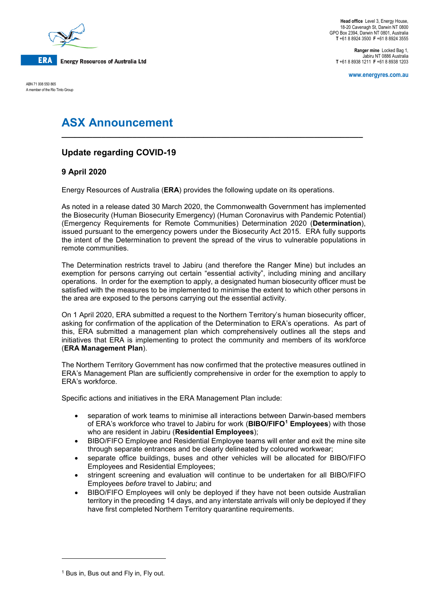

**Head office** Level 3, Energy House, 18-20 Cavenagh St, Darwin NT 0800 GPO Box 2394, Darwin NT 0801, Australia **T** +61 8 8924 3500 **F** +61 8 8924 3555

**Ranger mine** Locked Bag 1, Jabiru NT 0886 Australia **T** +61 8 8938 1211 **F** +61 8 8938 1203

**www.energyres.com.au**

ABN 71 008 550 865 A member of the Rio Tinto Group

# **ASX Announcement**

## **Update regarding COVID-19**

### **9 April 2020**

Energy Resources of Australia (**ERA**) provides the following update on its operations.

As noted in a release dated 30 March 2020, the Commonwealth Government has implemented the Biosecurity (Human Biosecurity Emergency) (Human Coronavirus with Pandemic Potential) (Emergency Requirements for Remote Communities) Determination 2020 (**Determination**), issued pursuant to the emergency powers under the Biosecurity Act 2015. ERA fully supports the intent of the Determination to prevent the spread of the virus to vulnerable populations in remote communities.

**\_\_\_\_\_\_\_\_\_\_\_\_\_\_\_\_\_\_\_\_\_\_\_\_\_\_\_\_\_\_\_\_\_\_\_\_\_\_\_\_\_\_\_\_\_\_\_\_\_\_\_\_\_\_\_\_\_\_\_\_\_\_\_\_\_\_\_\_**

The Determination restricts travel to Jabiru (and therefore the Ranger Mine) but includes an exemption for persons carrying out certain "essential activity", including mining and ancillary operations. In order for the exemption to apply, a designated human biosecurity officer must be satisfied with the measures to be implemented to minimise the extent to which other persons in the area are exposed to the persons carrying out the essential activity.

On 1 April 2020, ERA submitted a request to the Northern Territory's human biosecurity officer, asking for confirmation of the application of the Determination to ERA's operations. As part of this, ERA submitted a management plan which comprehensively outlines all the steps and initiatives that ERA is implementing to protect the community and members of its workforce (**ERA Management Plan**).

The Northern Territory Government has now confirmed that the protective measures outlined in ERA's Management Plan are sufficiently comprehensive in order for the exemption to apply to ERA's workforce.

Specific actions and initiatives in the ERA Management Plan include:

- separation of work teams to minimise all interactions between Darwin-based members of ERA's workforce who travel to Jabiru for work (**BIBO/FIFO[1](#page-0-0) Employees**) with those who are resident in Jabiru (**Residential Employees**);
- BIBO/FIFO Employee and Residential Employee teams will enter and exit the mine site through separate entrances and be clearly delineated by coloured workwear;
- separate office buildings, buses and other vehicles will be allocated for BIBO/FIFO Employees and Residential Employees;
- stringent screening and evaluation will continue to be undertaken for all BIBO/FIFO Employees *before* travel to Jabiru; and
- BIBO/FIFO Employees will only be deployed if they have not been outside Australian territory in the preceding 14 days, and any interstate arrivals will only be deployed if they have first completed Northern Territory quarantine requirements.

i<br>I

<span id="page-0-0"></span><sup>&</sup>lt;sup>1</sup> Bus in, Bus out and Fly in, Fly out.